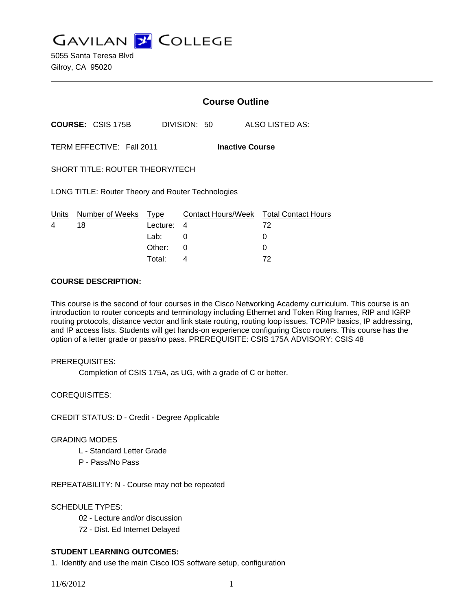**GAVILAN J COLLEGE** 

5055 Santa Teresa Blvd Gilroy, CA 95020

|                                                     |                          | <b>Course Outline</b> |                         |                                  |  |
|-----------------------------------------------------|--------------------------|-----------------------|-------------------------|----------------------------------|--|
|                                                     | <b>COURSE: CSIS 175B</b> |                       | DIVISION: 50            | ALSO LISTED AS:                  |  |
| TERM EFFECTIVE: Fall 2011<br><b>Inactive Course</b> |                          |                       |                         |                                  |  |
| SHORT TITLE: ROUTER THEORY/TECH                     |                          |                       |                         |                                  |  |
| LONG TITLE: Router Theory and Router Technologies   |                          |                       |                         |                                  |  |
| Units<br>4                                          | Number of Weeks<br>18    | Type<br>Lecture:      | Contact Hours/Week<br>4 | <b>Total Contact Hours</b><br>72 |  |
|                                                     |                          | Lab:                  | 0                       | O                                |  |
|                                                     |                          | Other:                | 0                       |                                  |  |

### **COURSE DESCRIPTION:**

This course is the second of four courses in the Cisco Networking Academy curriculum. This course is an introduction to router concepts and terminology including Ethernet and Token Ring frames, RIP and IGRP routing protocols, distance vector and link state routing, routing loop issues, TCP/IP basics, IP addressing, and IP access lists. Students will get hands-on experience configuring Cisco routers. This course has the option of a letter grade or pass/no pass. PREREQUISITE: CSIS 175A ADVISORY: CSIS 48

Total: 4 72

### PREREQUISITES:

Completion of CSIS 175A, as UG, with a grade of C or better.

COREQUISITES:

CREDIT STATUS: D - Credit - Degree Applicable

#### GRADING MODES

- L Standard Letter Grade
- P Pass/No Pass

REPEATABILITY: N - Course may not be repeated

#### SCHEDULE TYPES:

- 02 Lecture and/or discussion
- 72 Dist. Ed Internet Delayed

## **STUDENT LEARNING OUTCOMES:**

1. Identify and use the main Cisco IOS software setup, configuration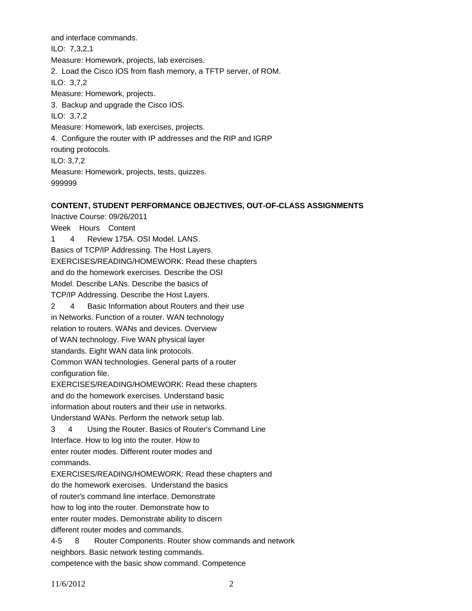and interface commands. ILO: 7,3,2,1 Measure: Homework, projects, lab exercises. 2. Load the Cisco IOS from flash memory, a TFTP server, of ROM. ILO: 3,7,2 Measure: Homework, projects. 3. Backup and upgrade the Cisco IOS. ILO: 3,7,2 Measure: Homework, lab exercises, projects. 4. Configure the router with IP addresses and the RIP and IGRP routing protocols. ILO: 3,7,2 Measure: Homework, projects, tests, quizzes. 999999

## **CONTENT, STUDENT PERFORMANCE OBJECTIVES, OUT-OF-CLASS ASSIGNMENTS**

Inactive Course: 09/26/2011 Week Hours Content 1 4 Review 175A. OSI Model. LANS. Basics of TCP/IP Addressing. The Host Layers. EXERCISES/READING/HOMEWORK: Read these chapters and do the homework exercises. Describe the OSI Model. Describe LANs. Describe the basics of TCP/IP Addressing. Describe the Host Layers. 2 4 Basic Information about Routers and their use in Networks. Function of a router. WAN technology relation to routers. WANs and devices. Overview of WAN technology. Five WAN physical layer standards. Eight WAN data link protocols. Common WAN technologies. General parts of a router configuration file. EXERCISES/READING/HOMEWORK: Read these chapters and do the homework exercises. Understand basic information about routers and their use in networks. Understand WANs. Perform the network setup lab. 3 4 Using the Router. Basics of Router's Command Line Interface. How to log into the router. How to enter router modes. Different router modes and commands. EXERCISES/READING/HOMEWORK: Read these chapters and do the homework exercises. Understand the basics of router's command line interface. Demonstrate how to log into the router. Demonstrate how to enter router modes. Demonstrate ability to discern different router modes and commands. 4-5 8 Router Components. Router show commands and network neighbors. Basic network testing commands.

competence with the basic show command. Competence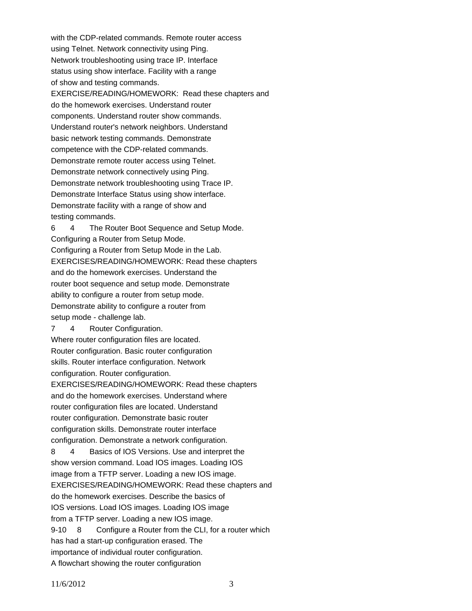with the CDP-related commands. Remote router access using Telnet. Network connectivity using Ping. Network troubleshooting using trace IP. Interface status using show interface. Facility with a range of show and testing commands. EXERCISE/READING/HOMEWORK: Read these chapters and do the homework exercises. Understand router components. Understand router show commands. Understand router's network neighbors. Understand basic network testing commands. Demonstrate competence with the CDP-related commands. Demonstrate remote router access using Telnet. Demonstrate network connectively using Ping. Demonstrate network troubleshooting using Trace IP. Demonstrate Interface Status using show interface. Demonstrate facility with a range of show and testing commands.

6 4 The Router Boot Sequence and Setup Mode. Configuring a Router from Setup Mode. Configuring a Router from Setup Mode in the Lab. EXERCISES/READING/HOMEWORK: Read these chapters and do the homework exercises. Understand the router boot sequence and setup mode. Demonstrate ability to configure a router from setup mode. Demonstrate ability to configure a router from setup mode - challenge lab.

7 4 Router Configuration.

Where router configuration files are located. Router configuration. Basic router configuration skills. Router interface configuration. Network

configuration. Router configuration.

EXERCISES/READING/HOMEWORK: Read these chapters and do the homework exercises. Understand where router configuration files are located. Understand router configuration. Demonstrate basic router configuration skills. Demonstrate router interface configuration. Demonstrate a network configuration.

8 4 Basics of IOS Versions. Use and interpret the show version command. Load IOS images. Loading IOS image from a TFTP server. Loading a new IOS image. EXERCISES/READING/HOMEWORK: Read these chapters and do the homework exercises. Describe the basics of IOS versions. Load IOS images. Loading IOS image from a TFTP server. Loading a new IOS image. 9-10 8 Configure a Router from the CLI, for a router which has had a start-up configuration erased. The importance of individual router configuration.

A flowchart showing the router configuration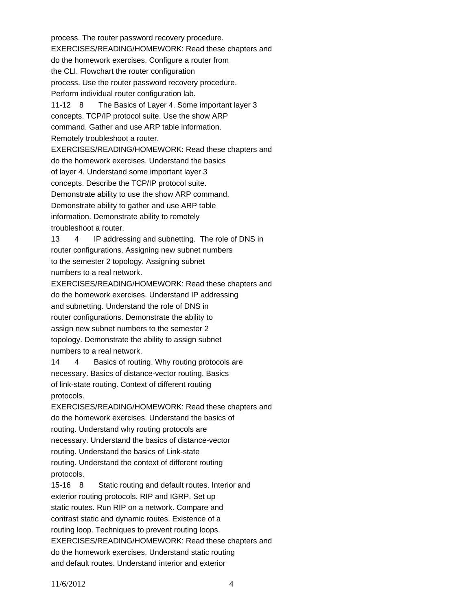process. The router password recovery procedure. EXERCISES/READING/HOMEWORK: Read these chapters and do the homework exercises. Configure a router from the CLI. Flowchart the router configuration process. Use the router password recovery procedure. Perform individual router configuration lab. 11-12 8 The Basics of Layer 4. Some important layer 3 concepts. TCP/IP protocol suite. Use the show ARP command. Gather and use ARP table information. Remotely troubleshoot a router. EXERCISES/READING/HOMEWORK: Read these chapters and do the homework exercises. Understand the basics of layer 4. Understand some important layer 3 concepts. Describe the TCP/IP protocol suite. Demonstrate ability to use the show ARP command. Demonstrate ability to gather and use ARP table information. Demonstrate ability to remotely troubleshoot a router. 13 4 IP addressing and subnetting. The role of DNS in router configurations. Assigning new subnet numbers to the semester 2 topology. Assigning subnet numbers to a real network. EXERCISES/READING/HOMEWORK: Read these chapters and do the homework exercises. Understand IP addressing and subnetting. Understand the role of DNS in router configurations. Demonstrate the ability to assign new subnet numbers to the semester 2 topology. Demonstrate the ability to assign subnet numbers to a real network. 14 4 Basics of routing. Why routing protocols are necessary. Basics of distance-vector routing. Basics of link-state routing. Context of different routing protocols. EXERCISES/READING/HOMEWORK: Read these chapters and do the homework exercises. Understand the basics of routing. Understand why routing protocols are necessary. Understand the basics of distance-vector

routing. Understand the basics of Link-state routing. Understand the context of different routing protocols.

15-16 8 Static routing and default routes. Interior and exterior routing protocols. RIP and IGRP. Set up static routes. Run RIP on a network. Compare and contrast static and dynamic routes. Existence of a routing loop. Techniques to prevent routing loops. EXERCISES/READING/HOMEWORK: Read these chapters and do the homework exercises. Understand static routing and default routes. Understand interior and exterior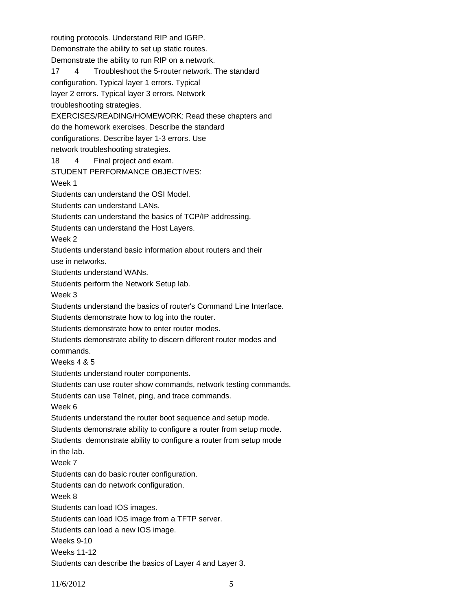routing protocols. Understand RIP and IGRP. Demonstrate the ability to set up static routes. Demonstrate the ability to run RIP on a network. 17 4 Troubleshoot the 5-router network. The standard configuration. Typical layer 1 errors. Typical layer 2 errors. Typical layer 3 errors. Network troubleshooting strategies. EXERCISES/READING/HOMEWORK: Read these chapters and do the homework exercises. Describe the standard configurations. Describe layer 1-3 errors. Use network troubleshooting strategies. 18 4 Final project and exam. STUDENT PERFORMANCE OBJECTIVES: Week 1 Students can understand the OSI Model. Students can understand LANs. Students can understand the basics of TCP/IP addressing. Students can understand the Host Layers. Week 2 Students understand basic information about routers and their use in networks. Students understand WANs. Students perform the Network Setup lab. Week 3 Students understand the basics of router's Command Line Interface. Students demonstrate how to log into the router. Students demonstrate how to enter router modes. Students demonstrate ability to discern different router modes and commands. Weeks 4 & 5 Students understand router components. Students can use router show commands, network testing commands. Students can use Telnet, ping, and trace commands. Week 6 Students understand the router boot sequence and setup mode. Students demonstrate ability to configure a router from setup mode. Students demonstrate ability to configure a router from setup mode in the lab. Week 7 Students can do basic router configuration. Students can do network configuration. Week 8 Students can load IOS images. Students can load IOS image from a TFTP server. Students can load a new IOS image. Weeks 9-10 Weeks 11-12 Students can describe the basics of Layer 4 and Layer 3.

11/6/2012 5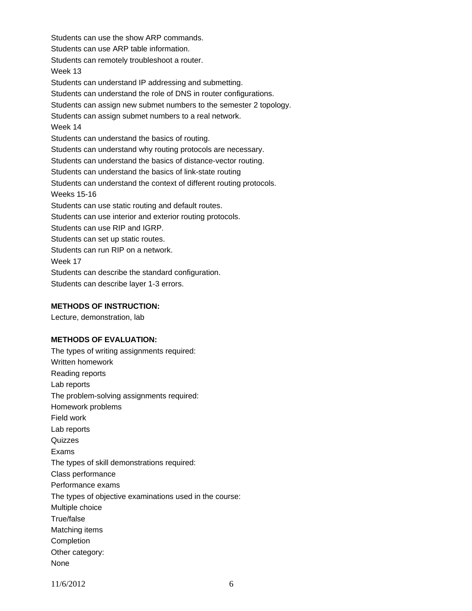Students can use the show ARP commands. Students can use ARP table information. Students can remotely troubleshoot a router. Week 13 Students can understand IP addressing and submetting. Students can understand the role of DNS in router configurations. Students can assign new submet numbers to the semester 2 topology. Students can assign submet numbers to a real network. Week 14 Students can understand the basics of routing. Students can understand why routing protocols are necessary. Students can understand the basics of distance-vector routing. Students can understand the basics of link-state routing Students can understand the context of different routing protocols. Weeks 15-16 Students can use static routing and default routes. Students can use interior and exterior routing protocols. Students can use RIP and IGRP. Students can set up static routes. Students can run RIP on a network. Week 17 Students can describe the standard configuration. Students can describe layer 1-3 errors.

#### **METHODS OF INSTRUCTION:**

Lecture, demonstration, lab

#### **METHODS OF EVALUATION:**

The types of writing assignments required: Written homework Reading reports Lab reports The problem-solving assignments required: Homework problems Field work Lab reports **Quizzes** Exams The types of skill demonstrations required: Class performance Performance exams The types of objective examinations used in the course: Multiple choice True/false Matching items **Completion** Other category: None

11/6/2012 6